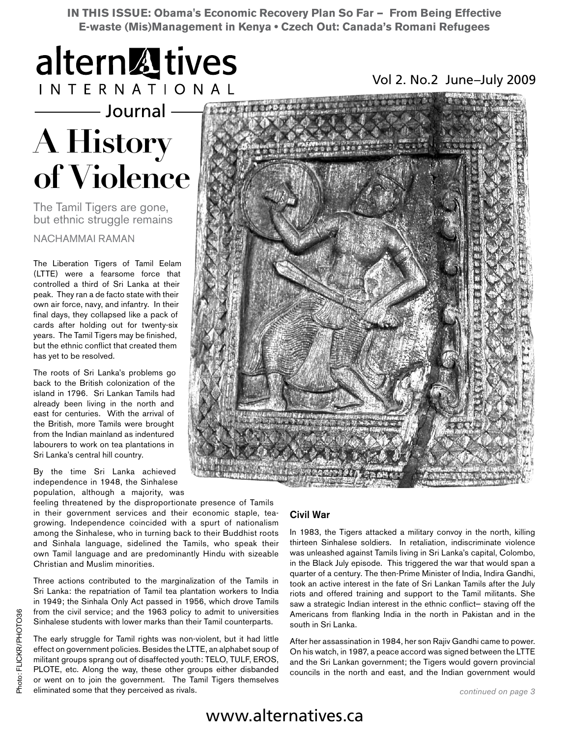**IN THIS ISSUE: Obama's Economic Recovery Plan So Far — From Being Effective E-waste (Mis)Management in Kenya • Czech Out: Canada's Romani Refugees**



- Journal

# **A History of Violence**

The Tamil Tigers are gone, but ethnic struggle remains

NACHAMMAI RAMAN

The Liberation Tigers of Tamil Eelam (LTTE) were a fearsome force that controlled a third of Sri Lanka at their peak. They ran a de facto state with their own air force, navy, and infantry. In their final days, they collapsed like a pack of cards after holding out for twenty-six years. The Tamil Tigers may be finished, but the ethnic conflict that created them has yet to be resolved.

The roots of Sri Lanka's problems go back to the British colonization of the island in 1796. Sri Lankan Tamils had already been living in the north and east for centuries. With the arrival of the British, more Tamils were brought from the Indian mainland as indentured labourers to work on tea plantations in Sri Lanka's central hill country.

By the time Sri Lanka achieved independence in 1948, the Sinhalese population, although a majority, was

feeling threatened by the disproportionate presence of Tamils in their government services and their economic staple, teagrowing. Independence coincided with a spurt of nationalism among the Sinhalese, who in turning back to their Buddhist roots and Sinhala language, sidelined the Tamils, who speak their own Tamil language and are predominantly Hindu with sizeable Christian and Muslim minorities.

Three actions contributed to the marginalization of the Tamils in Sri Lanka: the repatriation of Tamil tea plantation workers to India in 1949; the Sinhala Only Act passed in 1956, which drove Tamils from the civil service; and the 1963 policy to admit to universities Sinhalese students with lower marks than their Tamil counterparts.

The early struggle for Tamil rights was non-violent, but it had little effect on government policies. Besides the LTTE, an alphabet soup of militant groups sprang out of disaffected youth: TELO, TULF, EROS, PLOTE, etc. Along the way, these other groups either disbanded or went on to join the government. The Tamil Tigers themselves eliminated some that they perceived as rivals.

### Civil War

In 1983, the Tigers attacked a military convoy in the north, killing thirteen Sinhalese soldiers. In retaliation, indiscriminate violence was unleashed against Tamils living in Sri Lanka's capital, Colombo, in the Black July episode. This triggered the war that would span a quarter of a century. The then-Prime Minister of India, Indira Gandhi, took an active interest in the fate of Sri Lankan Tamils after the July riots and offered training and support to the Tamil militants. She saw a strategic Indian interest in the ethnic conflict— staving off the Americans from flanking India in the north in Pakistan and in the south in Sri Lanka.

After her assassination in 1984, her son Rajiv Gandhi came to power. On his watch, in 1987, a peace accord was signed between the LTTE and the Sri Lankan government; the Tigers would govern provincial councils in the north and east, and the Indian government would

### www.alternatives.ca

Vol 2. No.2 June–July 2009

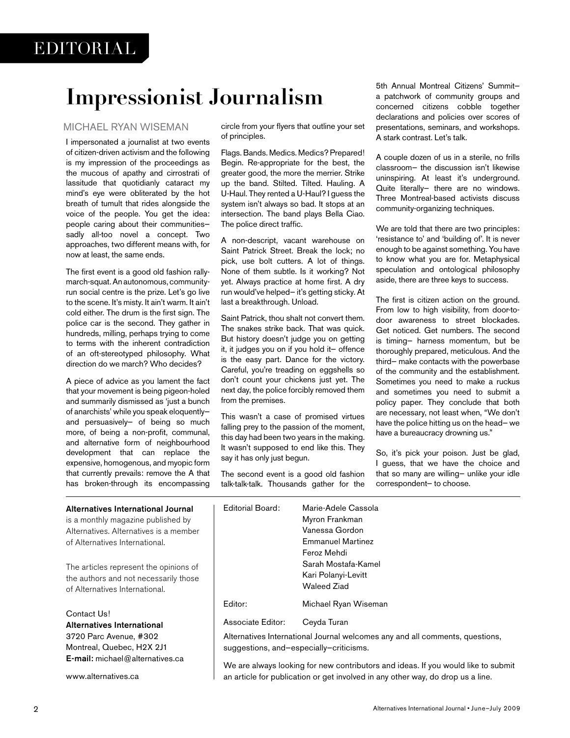# **Impressionist Journalism**

### MICHAEL RYAN WISEMAN

I impersonated a journalist at two events of citizen-driven activism and the following is my impression of the proceedings as the mucous of apathy and cirrostrati of lassitude that quotidianly cataract my mind's eye were obliterated by the hot breath of tumult that rides alongside the voice of the people. You get the idea: people caring about their communities sadly all-too novel a concept. Two approaches, two different means with, for now at least, the same ends.

The first event is a good old fashion rallymarch-squat. An autonomous, communityrun social centre is the prize. Let's go live to the scene. It's misty. It ain't warm. It ain't cold either. The drum is the first sign. The police car is the second. They gather in hundreds, milling, perhaps trying to come to terms with the inherent contradiction of an oft-stereotyped philosophy. What direction do we march? Who decides?

A piece of advice as you lament the fact that your movement is being pigeon-holed and summarily dismissed as 'just a bunch of anarchists' while you speak eloquently and persuasively— of being so much more, of being a non-profit, communal, and alternative form of neighbourhood development that can replace the expensive, homogenous, and myopic form that currently prevails: remove the A that has broken-through its encompassing

Montreal, Quebec, H2X 2J1 E-mail: michael@alternatives.ca

www.alternatives.ca

circle from your flyers that outline your set of principles.

Flags. Bands. Medics. Medics? Prepared! Begin. Re-appropriate for the best, the greater good, the more the merrier. Strike up the band. Stilted. Tilted. Hauling. A U-Haul. They rented a U-Haul? I guess the system isn't always so bad. It stops at an intersection. The band plays Bella Ciao. The police direct traffic.

A non-descript, vacant warehouse on Saint Patrick Street. Break the lock; no pick, use bolt cutters. A lot of things. None of them subtle. Is it working? Not yet. Always practice at home first. A dry run would've helped— it's getting sticky. At last a breakthrough. Unload.

Saint Patrick, thou shalt not convert them. The snakes strike back. That was quick. But history doesn't judge you on getting it, it judges you on if you hold it— offence is the easy part. Dance for the victory. Careful, you're treading on eggshells so don't count your chickens just yet. The next day, the police forcibly removed them from the premises.

This wasn't a case of promised virtues falling prey to the passion of the moment, this day had been two years in the making. It wasn't supposed to end like this. They say it has only just begun.

The second event is a good old fashion talk-talk-talk. Thousands gather for the 5th Annual Montreal Citizens' Summit a patchwork of community groups and concerned citizens cobble together declarations and policies over scores of presentations, seminars, and workshops. A stark contrast. Let's talk.

A couple dozen of us in a sterile, no frills classroom— the discussion isn't likewise uninspiring. At least it's underground. Quite literally— there are no windows. Three Montreal-based activists discuss community-organizing techniques.

We are told that there are two principles: 'resistance to' and 'building of'. It is never enough to be against something. You have to know what you are for. Metaphysical speculation and ontological philosophy aside, there are three keys to success.

The first is citizen action on the ground. From low to high visibility, from door-todoor awareness to street blockades. Get noticed. Get numbers. The second is timing— harness momentum, but be thoroughly prepared, meticulous. And the third— make contacts with the powerbase of the community and the establishment. Sometimes you need to make a ruckus and sometimes you need to submit a policy paper. They conclude that both are necessary, not least when, "We don't have the police hitting us on the head— we have a bureaucracy drowning us."

So, it's pick your poison. Just be glad, I guess, that we have the choice and that so many are willing— unlike your idle correspondent— to choose.

| Alternatives International Journal<br>is a monthly magazine published by<br>Alternatives. Alternatives is a member<br>of Alternatives International. | Editorial Board:  | Marie-Adele Cassola<br>Myron Frankman<br>Vanessa Gordon<br><b>Emmanuel Martinez</b><br>Feroz Mehdi |
|------------------------------------------------------------------------------------------------------------------------------------------------------|-------------------|----------------------------------------------------------------------------------------------------|
| The articles represent the opinions of<br>the authors and not necessarily those<br>of Alternatives International.                                    |                   | Sarah Mostafa-Kamel<br>Kari Polanyi-Levitt<br><b>Waleed Ziad</b>                                   |
|                                                                                                                                                      | Editor:           | Michael Ryan Wiseman                                                                               |
| Contact Us!<br><b>Alternatives International</b><br>3720 Parc Avenue, #302                                                                           | Associate Editor: | Ceyda Turan<br>Alternatives International Journal welcomes any and all comments, questions,        |

suggestions, and—especially—criticisms.

We are always looking for new contributors and ideas. If you would like to submit an article for publication or get involved in any other way, do drop us a line.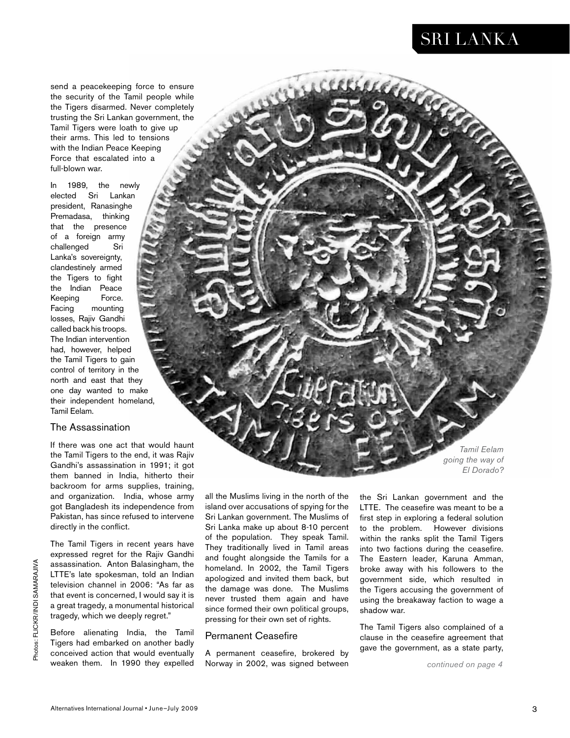### SRI LANKA

concerce

send a peacekeeping force to ensure the security of the Tamil people while the Tigers disarmed. Never completely trusting the Sri Lankan government, the Tamil Tigers were loath to give up their arms. This led to tensions with the Indian Peace Keeping Force that escalated into a full-blown war.

In 1989, the newly elected Sri Lankan president, Ranasinghe Premadasa, thinking that the presence of a foreign army challenged Sri Lanka's sovereignty, clandestinely armed the Tigers to fight the Indian Peace Keeping Force. Facing mounting losses, Rajiv Gandhi called back his troops. The Indian intervention had, however, helped the Tamil Tigers to gain control of territory in the north and east that they one day wanted to make their independent homeland, Tamil Eelam.

#### The Assassination

If there was one act that would haunt the Tamil Tigers to the end, it was Rajiv Gandhi's assassination in 1991; it got them banned in India, hitherto their backroom for arms supplies, training, and organization. India, whose army got Bangladesh its independence from Pakistan, has since refused to intervene directly in the conflict.

The Tamil Tigers in recent years have expressed regret for the Rajiv Gandhi assassination. Anton Balasingham, the LTTE's late spokesman, told an Indian television channel in 2006: "As far as that event is concerned, I would say it is a great tragedy, a monumental historical tragedy, which we deeply regret."

Before alienating India, the Tamil Tigers had embarked on another badly conceived action that would eventually weaken them. In 1990 they expelled

all the Muslims living in the north of the island over accusations of spying for the Sri Lankan government. The Muslims of Sri Lanka make up about 8-10 percent of the population. They speak Tamil. They traditionally lived in Tamil areas and fought alongside the Tamils for a homeland. In 2002, the Tamil Tigers apologized and invited them back, but the damage was done. The Muslims never trusted them again and have since formed their own political groups, pressing for their own set of rights.

### Permanent Ceasefire

A permanent ceasefire, brokered by Norway in 2002, was signed between

the Sri Lankan government and the LTTE. The ceasefire was meant to be a first step in exploring a federal solution to the problem. However divisions within the ranks split the Tamil Tigers into two factions during the ceasefire. The Eastern leader, Karuna Amman, broke away with his followers to the government side, which resulted in the Tigers accusing the government of using the breakaway faction to wage a shadow war.

The Tamil Tigers also complained of a clause in the ceasefire agreement that gave the government, as a state party,

*Tamil Eelam going the way of El Dorado?*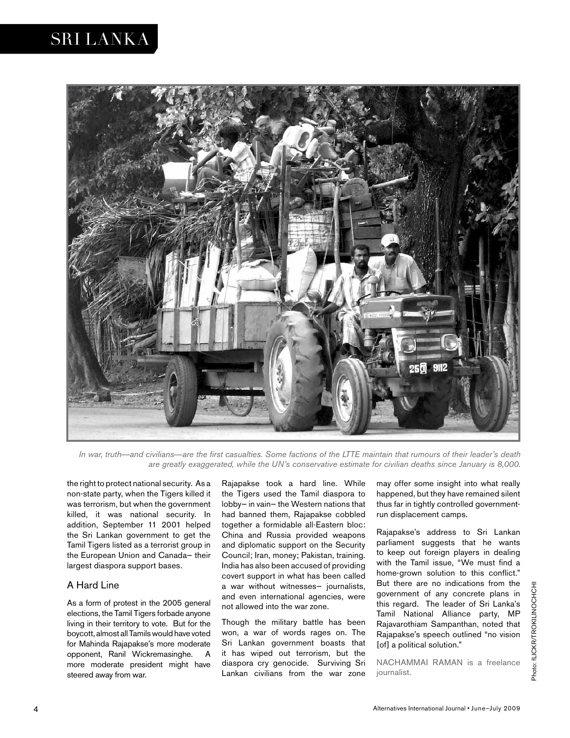### SRI LANKA



*In war, truth—and civilians—are the first casualties. Some factions of the LTTE maintain that rumours of their leader's death are greatly exaggerated, while the UN's conservative estimate for civilian deaths since January is 8,000.*

the right to protect national security. As a non-state party, when the Tigers killed it was terrorism, but when the government killed, it was national security. In addition, September 11 2001 helped the Sri Lankan government to get the Tamil Tigers listed as a terrorist group in the European Union and Canada— their largest diaspora support bases.

### A Hard Line

As a form of protest in the 2005 general elections, the Tamil Tigers forbade anyone living in their territory to vote. But for the boycott, almost all Tamils would have voted for Mahinda Rajapakse's more moderate opponent, Ranil Wickremasinghe. A more moderate president might have steered away from war.

Rajapakse took a hard line. While the Tigers used the Tamil diaspora to lobby— in vain— the Western nations that had banned them, Rajapakse cobbled together a formidable all-Eastern bloc: China and Russia provided weapons and diplomatic support on the Security Council; Iran, money; Pakistan, training. India has also been accused of providing covert support in what has been called a war without witnesses— journalists, and even international agencies, were not allowed into the war zone.

Though the military battle has been won, a war of words rages on. The Sri Lankan government boasts that it has wiped out terrorism, but the diaspora cry genocide. Surviving Sri Lankan civilians from the war zone

may offer some insight into what really happened, but they have remained silent thus far in tightly controlled governmentrun displacement camps.

Rajapakse's address to Sri Lankan parliament suggests that he wants to keep out foreign players in dealing with the Tamil issue, "We must find a home-grown solution to this conflict." But there are no indications from the government of any concrete plans in this regard. The leader of Sri Lanka's Tamil National Alliance party, MP Rajavarothiam Sampanthan, noted that Rajapakse's speech outlined "no vision [of] a political solution."

NACHAMMAI RAMAN is a freelance journalist.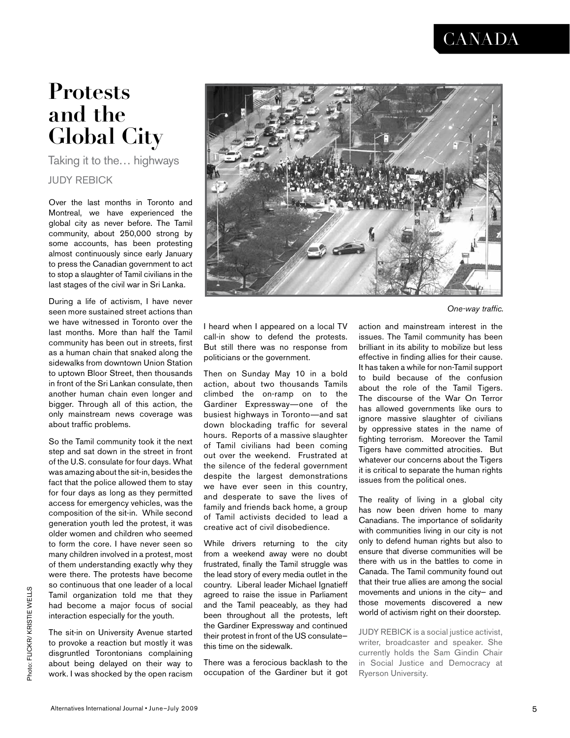### **CANADA**

## **Protests and the Global City**

Taking it to the… highways JUDY REBICK

Over the last months in Toronto and Montreal, we have experienced the global city as never before. The Tamil community, about 250,000 strong by some accounts, has been protesting almost continuously since early January to press the Canadian government to act to stop a slaughter of Tamil civilians in the last stages of the civil war in Sri Lanka.

During a life of activism, I have never seen more sustained street actions than we have witnessed in Toronto over the last months. More than half the Tamil community has been out in streets, first as a human chain that snaked along the sidewalks from downtown Union Station to uptown Bloor Street, then thousands in front of the Sri Lankan consulate, then another human chain even longer and bigger. Through all of this action, the only mainstream news coverage was about traffic problems.

So the Tamil community took it the next step and sat down in the street in front of the U.S. consulate for four days. What was amazing about the sit-in, besides the fact that the police allowed them to stay for four days as long as they permitted access for emergency vehicles, was the composition of the sit-in. While second generation youth led the protest, it was older women and children who seemed to form the core. I have never seen so many children involved in a protest, most of them understanding exactly why they were there. The protests have become so continuous that one leader of a local Tamil organization told me that they had become a major focus of social interaction especially for the youth.

The sit-in on University Avenue started to provoke a reaction but mostly it was disgruntled Torontonians complaining about being delayed on their way to work. I was shocked by the open racism



*One-way traffic.*

I heard when I appeared on a local TV call-in show to defend the protests. But still there was no response from politicians or the government.

Then on Sunday May 10 in a bold action, about two thousands Tamils climbed the on-ramp on to the Gardiner Expressway—one of the busiest highways in Toronto—and sat down blockading traffic for several hours. Reports of a massive slaughter of Tamil civilians had been coming out over the weekend. Frustrated at the silence of the federal government despite the largest demonstrations we have ever seen in this country, and desperate to save the lives of family and friends back home, a group of Tamil activists decided to lead a creative act of civil disobedience.

While drivers returning to the city from a weekend away were no doubt frustrated, finally the Tamil struggle was the lead story of every media outlet in the country. Liberal leader Michael Ignatieff agreed to raise the issue in Parliament and the Tamil peaceably, as they had been throughout all the protests, left the Gardiner Expressway and continued their protest in front of the US consulate this time on the sidewalk.

There was a ferocious backlash to the occupation of the Gardiner but it got action and mainstream interest in the issues. The Tamil community has been brilliant in its ability to mobilize but less effective in finding allies for their cause. It has taken a while for non-Tamil support to build because of the confusion about the role of the Tamil Tigers. The discourse of the War On Terror has allowed governments like ours to ignore massive slaughter of civilians by oppressive states in the name of fighting terrorism. Moreover the Tamil Tigers have committed atrocities. But whatever our concerns about the Tigers it is critical to separate the human rights issues from the political ones.

The reality of living in a global city has now been driven home to many Canadians. The importance of solidarity with communities living in our city is not only to defend human rights but also to ensure that diverse communities will be there with us in the battles to come in Canada. The Tamil community found out that their true allies are among the social movements and unions in the city— and those movements discovered a new world of activism right on their doorstep.

JUDY REBICK is a social justice activist, writer, broadcaster and speaker. She currently holds the Sam Gindin Chair in Social Justice and Democracy at Ryerson University.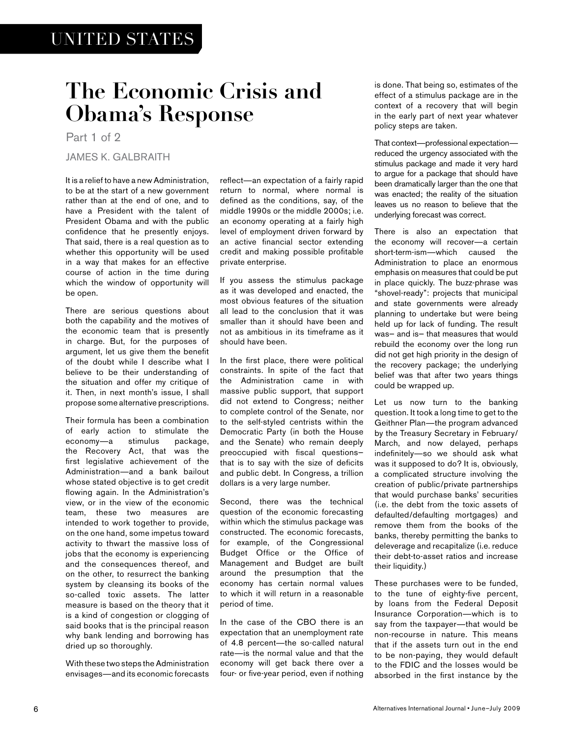# **The Economic Crisis and Obama's Response**

Part 1 of 2

JAMES K. GALBRAITH

It is a relief to have a new Administration, to be at the start of a new government rather than at the end of one, and to have a President with the talent of President Obama and with the public confidence that he presently enjoys. That said, there is a real question as to whether this opportunity will be used in a way that makes for an effective course of action in the time during which the window of opportunity will be open.

There are serious questions about both the capability and the motives of the economic team that is presently in charge. But, for the purposes of argument, let us give them the benefit of the doubt while I describe what I believe to be their understanding of the situation and offer my critique of it. Then, in next month's issue, I shall propose some alternative prescriptions.

Their formula has been a combination of early action to stimulate the economy—a stimulus package, the Recovery Act, that was the first legislative achievement of the Administration—and a bank bailout whose stated objective is to get credit flowing again. In the Administration's view, or in the view of the economic team, these two measures are intended to work together to provide, on the one hand, some impetus toward activity to thwart the massive loss of jobs that the economy is experiencing and the consequences thereof, and on the other, to resurrect the banking system by cleansing its books of the so-called toxic assets. The latter measure is based on the theory that it is a kind of congestion or clogging of said books that is the principal reason why bank lending and borrowing has dried up so thoroughly.

With these two steps the Administration envisages—and its economic forecasts reflect—an expectation of a fairly rapid return to normal, where normal is defined as the conditions, say, of the middle 1990s or the middle 2000s; i.e. an economy operating at a fairly high level of employment driven forward by an active financial sector extending credit and making possible profitable private enterprise.

If you assess the stimulus package as it was developed and enacted, the most obvious features of the situation all lead to the conclusion that it was smaller than it should have been and not as ambitious in its timeframe as it should have been.

In the first place, there were political constraints. In spite of the fact that the Administration came in with massive public support, that support did not extend to Congress; neither to complete control of the Senate, nor to the self-styled centrists within the Democratic Party (in both the House and the Senate) who remain deeply preoccupied with fiscal questions that is to say with the size of deficits and public debt. In Congress, a trillion dollars is a very large number.

Second, there was the technical question of the economic forecasting within which the stimulus package was constructed. The economic forecasts, for example, of the Congressional Budget Office or the Office of Management and Budget are built around the presumption that the economy has certain normal values to which it will return in a reasonable period of time.

In the case of the CBO there is an expectation that an unemployment rate of 4.8 percent—the so-called natural rate—is the normal value and that the economy will get back there over a four- or five-year period, even if nothing is done. That being so, estimates of the effect of a stimulus package are in the context of a recovery that will begin in the early part of next year whatever policy steps are taken.

That context—professional expectation reduced the urgency associated with the stimulus package and made it very hard to argue for a package that should have been dramatically larger than the one that was enacted; the reality of the situation leaves us no reason to believe that the underlying forecast was correct.

There is also an expectation that the economy will recover—a certain short-term-ism—which caused the Administration to place an enormous emphasis on measures that could be put in place quickly. The buzz-phrase was "shovel-ready": projects that municipal and state governments were already planning to undertake but were being held up for lack of funding. The result was— and is— that measures that would rebuild the economy over the long run did not get high priority in the design of the recovery package; the underlying belief was that after two years things could be wrapped up.

Let us now turn to the banking question. It took a long time to get to the Geithner Plan—the program advanced by the Treasury Secretary in February/ March, and now delayed, perhaps indefinitely—so we should ask what was it supposed to do? It is, obviously, a complicated structure involving the creation of public/private partnerships that would purchase banks' securities (i.e. the debt from the toxic assets of defaulted/defaulting mortgages) and remove them from the books of the banks, thereby permitting the banks to deleverage and recapitalize (i.e. reduce their debt-to-asset ratios and increase their liquidity.)

These purchases were to be funded, to the tune of eighty-five percent, by loans from the Federal Deposit Insurance Corporation—which is to say from the taxpayer—that would be non-recourse in nature. This means that if the assets turn out in the end to be non-paying, they would default to the FDIC and the losses would be absorbed in the first instance by the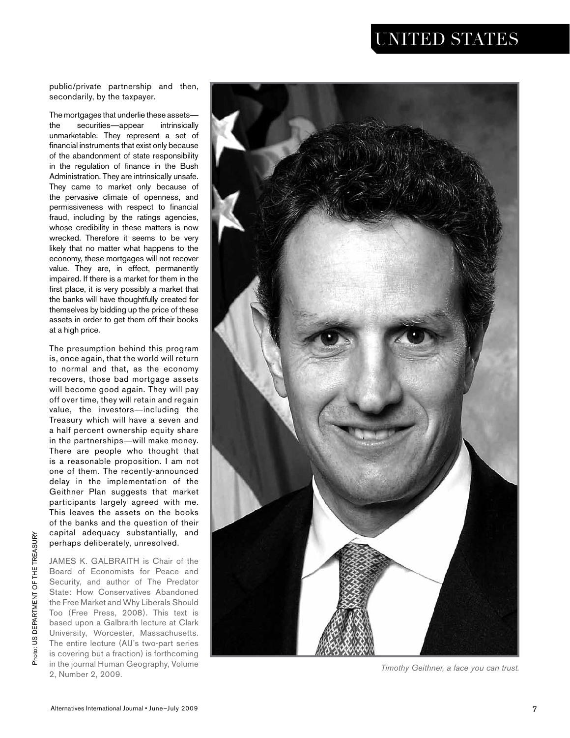### UNITED STATES

public/private partnership and then, secondarily, by the taxpayer.

The mortgages that underlie these assets the securities—appear intrinsically unmarketable. They represent a set of financial instruments that exist only because of the abandonment of state responsibility in the regulation of finance in the Bush Administration. They are intrinsically unsafe. They came to market only because of the pervasive climate of openness, and permissiveness with respect to financial fraud, including by the ratings agencies, whose credibility in these matters is now wrecked. Therefore it seems to be very likely that no matter what happens to the economy, these mortgages will not recover value. They are, in effect, permanently impaired. If there is a market for them in the first place, it is very possibly a market that the banks will have thoughtfully created for themselves by bidding up the price of these assets in order to get them off their books at a high price.

The presumption behind this program is, once again, that the world will return to normal and that, as the economy recovers, those bad mortgage assets will become good again. They will pay off over time, they will retain and regain value, the investors —including the Treasury which will have a seven and a half percent ownership equity share in the partnerships —will make money. There are people who thought that is a reasonable proposition. I am not one of them. The recently-announced delay in the implementation of the Geithner Plan suggests that market participants largely agreed with me. This leaves the assets on the books of the banks and the question of their capital adequacy substantially, and perhaps deliberately, unresolved.

JAMES K. GALBRAITH is Chair of the Board of Economists for Peace and Security, and author of The Predator State: How Conservatives Abandoned the Free Market and Why Liberals Should Too (Free Press, 2008). This text is based upon a Galbraith lecture at Clark University, Worcester, Massachusetts. The entire lecture (AIJ's two-part series is covering but a fraction) is forthcoming in the journal Human Geography, Volume 2, Number 2, 2009.



*Timothy Geithner, a face you can trust.*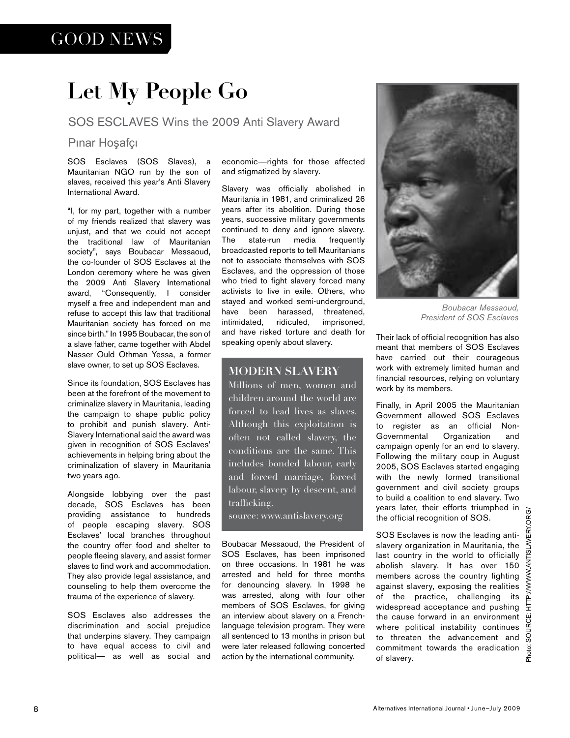### GOOD NEWS

# **Let My People Go**

### SOS ESCLAVES Wins the 2009 Anti Slavery Award

### Pınar Hoşafçı

SOS Esclaves (SOS Slaves), a Mauritanian NGO run by the son of slaves, received this year's Anti Slavery International Award.

"I, for my part, together with a number of my friends realized that slavery was unjust, and that we could not accept the traditional law of Mauritanian society", says Boubacar Messaoud, the co-founder of SOS Esclaves at the London ceremony where he was given the 2009 Anti Slavery International award, "Consequently, I consider myself a free and independent man and refuse to accept this law that traditional Mauritanian society has forced on me since birth." In 1995 Boubacar, the son of a slave father, came together with Abdel Nasser Ould Othman Yessa, a former slave owner, to set up SOS Esclaves.

Since its foundation, SOS Esclaves has been at the forefront of the movement to criminalize slavery in Mauritania, leading the campaign to shape public policy to prohibit and punish slavery. Anti-Slavery International said the award was given in recognition of SOS Esclaves' achievements in helping bring about the criminalization of slavery in Mauritania two years ago.

Alongside lobbying over the past decade, SOS Esclaves has been providing assistance to hundreds of people escaping slavery. SOS Esclaves' local branches throughout the country offer food and shelter to people fleeing slavery, and assist former slaves to find work and accommodation. They also provide legal assistance, and counseling to help them overcome the trauma of the experience of slavery.

SOS Esclaves also addresses the discrimination and social prejudice that underpins slavery. They campaign to have equal access to civil and political— as well as social and economic—rights for those affected and stigmatized by slavery.

Slavery was officially abolished in Mauritania in 1981, and criminalized 26 years after its abolition. During those years, successive military governments continued to deny and ignore slavery. The state-run media frequently broadcasted reports to tell Mauritanians not to associate themselves with SOS Esclaves, and the oppression of those who tried to fight slavery forced many activists to live in exile. Others, who stayed and worked semi-underground, have been harassed, threatened, intimidated, ridiculed, imprisoned, and have risked torture and death for speaking openly about slavery.

### **MODERN SLAVERY**

Millions of men, women and children around the world are forced to lead lives as slaves. Although this exploitation is often not called slavery, the conditions are the same. This includes bonded labour, early and forced marriage, forced labour, slavery by descent, and trafficking. source: www.antislavery.org

Boubacar Messaoud, the President of SOS Esclaves, has been imprisoned on three occasions. In 1981 he was arrested and held for three months for denouncing slavery. In 1998 he was arrested, along with four other members of SOS Esclaves, for giving an interview about slavery on a Frenchlanguage television program. They were all sentenced to 13 months in prison but were later released following concerted action by the international community.



*Boubacar Messaoud, President of SOS Esclaves*

Their lack of official recognition has also meant that members of SOS Esclaves have carried out their courageous work with extremely limited human and financial resources, relying on voluntary work by its members.

Finally, in April 2005 the Mauritanian Government allowed SOS Esclaves to register as an official Non-Governmental Organization and campaign openly for an end to slavery. Following the military coup in August 2005, SOS Esclaves started engaging with the newly formed transitional government and civil society groups to build a coalition to end slavery. Two years later, their efforts triumphed in the official recognition of SOS.

SOS Esclaves is now the leading antislavery organization in Mauritania, the last country in the world to officially abolish slavery. It has over 150 members across the country fighting against slavery, exposing the realities of the practice, challenging its widespread acceptance and pushing the cause forward in an environment where political instability continues to threaten the advancement and commitment towards the eradication of slavery.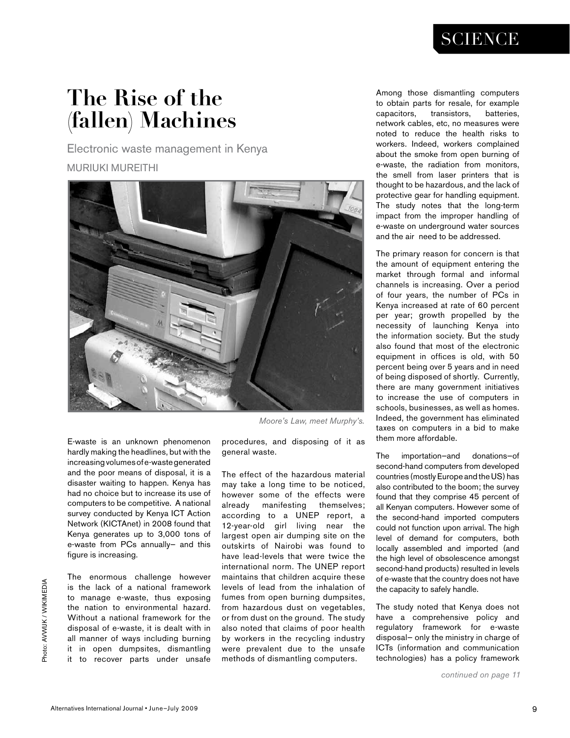### **SCIENCE**

# **The Rise of the (fallen) Machines**

Electronic waste management in Kenya MURIUKI MUREITHI



E-waste is an unknown phenomenon hardly making the headlines, but with the increasing volumes of e-waste generated and the poor means of disposal, it is a disaster waiting to happen. Kenya has had no choice but to increase its use of computers to be competitive. A national survey conducted by Kenya ICT Action Network (KICTAnet) in 2008 found that Kenya generates up to 3,000 tons of e-waste from PCs annually— and this figure is increasing.

The enormous challenge however is the lack of a national framework to manage e-waste, thus exposing the nation to environmental hazard. Without a national framework for the disposal of e-waste, it is dealt with in all manner of ways including burning it in open dumpsites, dismantling it to recover parts under unsafe

*Moore's Law, meet Murphy's.*

procedures, and disposing of it as general waste.

The effect of the hazardous material may take a long time to be noticed, however some of the effects were already manifesting themselves; according to a UNEP report, a 12-year-old girl living near the largest open air dumping site on the outskirts of Nairobi was found to have lead-levels that were twice the international norm. The UNEP report maintains that children acquire these levels of lead from the inhalation of fumes from open burning dumpsites, from hazardous dust on vegetables, or from dust on the ground. The study also noted that claims of poor health by workers in the recycling industry were prevalent due to the unsafe methods of dismantling computers.

Among those dismantling computers to obtain parts for resale, for example capacitors, transistors, batteries, network cables, etc, no measures were noted to reduce the health risks to workers. Indeed, workers complained about the smoke from open burning of e-waste, the radiation from monitors, the smell from laser printers that is thought to be hazardous, and the lack of protective gear for handling equipment. The study notes that the long-term impact from the improper handling of e-waste on underground water sources and the air need to be addressed.

The primary reason for concern is that the amount of equipment entering the market through formal and informal channels is increasing. Over a period of four years, the number of PCs in Kenya increased at rate of 60 percent per year; growth propelled by the necessity of launching Kenya into the information society. But the study also found that most of the electronic equipment in offices is old, with 50 percent being over 5 years and in need of being disposed of shortly. Currently, there are many government initiatives to increase the use of computers in schools, businesses, as well as homes. Indeed, the government has eliminated taxes on computers in a bid to make them more affordable.

The importation—and donations—of second-hand computers from developed countries (mostly Europe and the US) has also contributed to the boom; the survey found that they comprise 45 percent of all Kenyan computers. However some of the second-hand imported computers could not function upon arrival. The high level of demand for computers, both locally assembled and imported (and the high level of obsolescence amongst second-hand products) resulted in levels of e-waste that the country does not have the capacity to safely handle.

The study noted that Kenya does not have a comprehensive policy and regulatory framework for e-waste disposal— only the ministry in charge of ICTs (information and communication technologies) has a policy framework

*continued on page 11*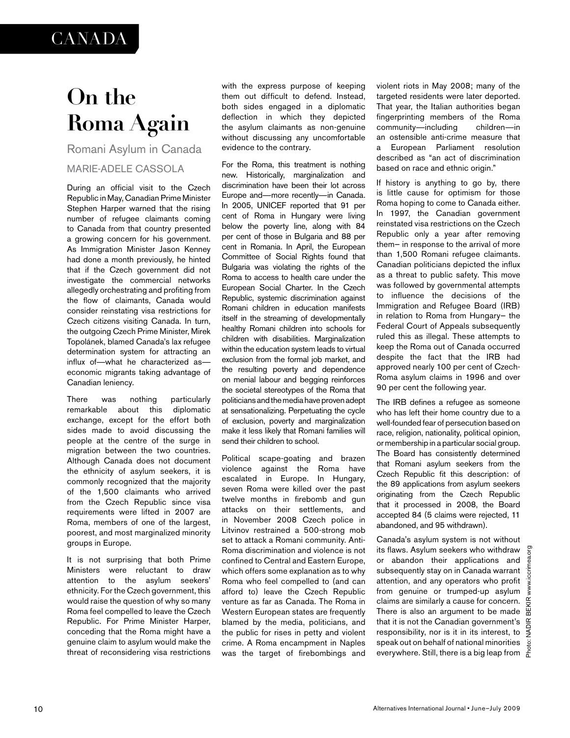### **CANADA**

# **On the Roma Again**

Romani Asylum in Canada

### MARIE-ADELE CASSOLA

During an official visit to the Czech Republic in May, Canadian Prime Minister Stephen Harper warned that the rising number of refugee claimants coming to Canada from that country presented a growing concern for his government. As Immigration Minister Jason Kenney had done a month previously, he hinted that if the Czech government did not investigate the commercial networks allegedly orchestrating and profiting from the flow of claimants, Canada would consider reinstating visa restrictions for Czech citizens visiting Canada. In turn, the outgoing Czech Prime Minister, Mirek Topolánek, blamed Canada's lax refugee determination system for attracting an influx of—what he characterized as economic migrants taking advantage of Canadian leniency.

There was nothing particularly remarkable about this diplomatic exchange, except for the effort both sides made to avoid discussing the people at the centre of the surge in migration between the two countries. Although Canada does not document the ethnicity of asylum seekers, it is commonly recognized that the majority of the 1,500 claimants who arrived from the Czech Republic since visa requirements were lifted in 2007 are Roma, members of one of the largest, poorest, and most marginalized minority groups in Europe.

It is not surprising that both Prime Ministers were reluctant to draw attention to the asylum seekers' ethnicity. For the Czech government, this would raise the question of why so many Roma feel compelled to leave the Czech Republic. For Prime Minister Harper, conceding that the Roma might have a genuine claim to asylum would make the threat of reconsidering visa restrictions

with the express purpose of keeping them out difficult to defend. Instead, both sides engaged in a diplomatic deflection in which they depicted the asylum claimants as non-genuine without discussing any uncomfortable evidence to the contrary.

For the Roma, this treatment is nothing new. Historically, marginalization and discrimination have been their lot across Europe and—more recently—in Canada. In 2005, UNICEF reported that 91 per cent of Roma in Hungary were living below the poverty line, along with 84 per cent of those in Bulgaria and 88 per cent in Romania. In April, the European Committee of Social Rights found that Bulgaria was violating the rights of the Roma to access to health care under the European Social Charter. In the Czech Republic, systemic discrimination against Romani children in education manifests itself in the streaming of developmentally healthy Romani children into schools for children with disabilities. Marginalization within the education system leads to virtual exclusion from the formal job market, and the resulting poverty and dependence on menial labour and begging reinforces the societal stereotypes of the Roma that politicians and the media have proven adept at sensationalizing. Perpetuating the cycle of exclusion, poverty and marginalization make it less likely that Romani families will send their children to school.

Political scape-goating and brazen violence against the Roma have escalated in Europe. In Hungary, seven Roma were killed over the past twelve months in firebomb and gun attacks on their settlements, and in November 2008 Czech police in Litvinov restrained a 500-strong mob set to attack a Romani community. Anti-Roma discrimination and violence is not confined to Central and Eastern Europe, which offers some explanation as to why Roma who feel compelled to (and can afford to) leave the Czech Republic venture as far as Canada. The Roma in Western European states are frequently blamed by the media, politicians, and the public for rises in petty and violent crime. A Roma encampment in Naples was the target of firebombings and violent riots in May 2008; many of the targeted residents were later deported. That year, the Italian authorities began fingerprinting members of the Roma community—including children—in an ostensible anti-crime measure that European Parliament resolution described as "an act of discrimination based on race and ethnic origin."

If history is anything to go by, there is little cause for optimism for those Roma hoping to come to Canada either. In 1997, the Canadian government reinstated visa restrictions on the Czech Republic only a year after removing them— in response to the arrival of more than 1,500 Romani refugee claimants. Canadian politicians depicted the influx as a threat to public safety. This move was followed by governmental attempts to influence the decisions of the Immigration and Refugee Board (IRB) in relation to Roma from Hungary— the Federal Court of Appeals subsequently ruled this as illegal. These attempts to keep the Roma out of Canada occurred despite the fact that the IRB had approved nearly 100 per cent of Czech-Roma asylum claims in 1996 and over 90 per cent the following year.

The IRB defines a refugee as someone who has left their home country due to a well-founded fear of persecution based on race, religion, nationality, political opinion, or membership in a particular social group. The Board has consistently determined that Romani asylum seekers from the Czech Republic fit this description: of the 89 applications from asylum seekers originating from the Czech Republic that it processed in 2008, the Board accepted 84 (5 claims were rejected, 11 abandoned, and 95 withdrawn).

Canada's asylum system is not without its flaws. Asylum seekers who withdraw or abandon their applications and subsequently stay on in Canada warrant attention, and any operators who profit from genuine or trumped-up asylum claims are similarly a cause for concern. There is also an argument to be made that it is not the Canadian government's responsibility, nor is it in its interest, to speak out on behalf of national minorities everywhere. Still, there is a big leap from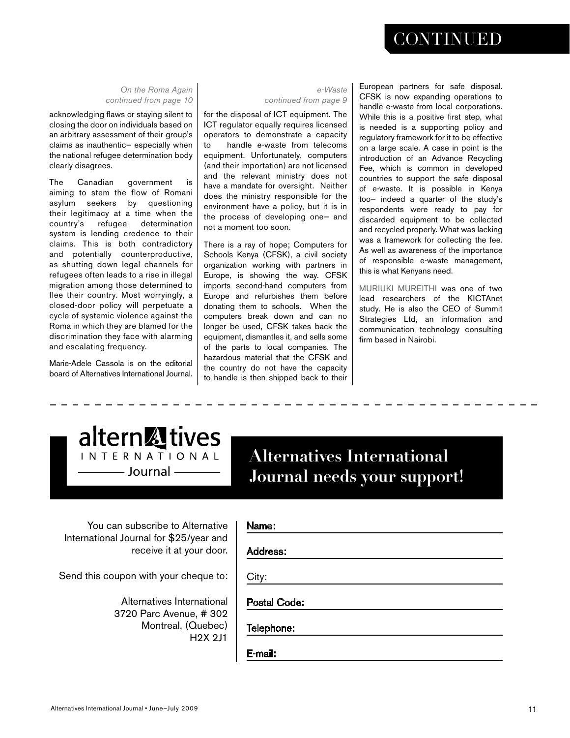### **CONTINUED**

*On the Roma Again continued from page 10*

acknowledging flaws or staying silent to closing the door on individuals based on an arbitrary assessment of their group's claims as inauthentic— especially when the national refugee determination body clearly disagrees.

The Canadian government is aiming to stem the flow of Romani asylum seekers by questioning their legitimacy at a time when the country's refugee determination system is lending credence to their claims. This is both contradictory and potentially counterproductive, as shutting down legal channels for refugees often leads to a rise in illegal migration among those determined to flee their country. Most worryingly, a closed-door policy will perpetuate a cycle of systemic violence against the Roma in which they are blamed for the discrimination they face with alarming and escalating frequency.

Marie-Adele Cassola is on the editorial board of Alternatives International Journal.

#### *e-Waste continued from page 9*

for the disposal of ICT equipment. The ICT regulator equally requires licensed operators to demonstrate a capacity to handle e-waste from telecoms equipment. Unfortunately, computers (and their importation) are not licensed and the relevant ministry does not have a mandate for oversight. Neither does the ministry responsible for the environment have a policy, but it is in the process of developing one— and not a moment too soon.

There is a ray of hope; Computers for Schools Kenya (CFSK), a civil society organization working with partners in Europe, is showing the way. CFSK imports second-hand computers from Europe and refurbishes them before donating them to schools. When the computers break down and can no longer be used, CFSK takes back the equipment, dismantles it, and sells some of the parts to local companies. The hazardous material that the CFSK and the country do not have the capacity to handle is then shipped back to their European partners for safe disposal. CFSK is now expanding operations to handle e-waste from local corporations. While this is a positive first step, what is needed is a supporting policy and regulatory framework for it to be effective on a large scale. A case in point is the introduction of an Advance Recycling Fee, which is common in developed countries to support the safe disposal of e-waste. It is possible in Kenya too— indeed a quarter of the study's respondents were ready to pay for discarded equipment to be collected and recycled properly. What was lacking was a framework for collecting the fee. As well as awareness of the importance of responsible e-waste management, this is what Kenyans need.

MURIUKI MUREITHI was one of two lead researchers of the KICTAnet study. He is also the CEO of Summit Strategies Ltd, an information and communication technology consulting firm based in Nairobi.



### **Alternatives International Journal needs your support!** Journal

You can subscribe to Alternative International Journal for \$25/year and receive it at your door.

Send this coupon with your cheque to:

Alternatives International 3720 Parc Avenue, # 302 Montreal, (Quebec) H2X 2J1

### Name:

Address:

City:

Postal Code:

Telephone:

E-mail: